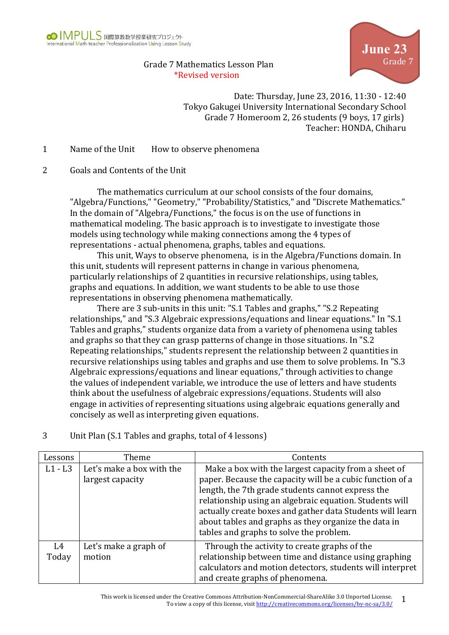

## Grade 7 Mathematics Lesson Plan \*Revised version



Date: Thursday, June 23, 2016, 11:30 - 12:40 Tokyo Gakugei University International Secondary School Grade 7 Homeroom 2, 26 students (9 boys, 17 girls) Teacher: HONDA, Chiharu

1 Name of the Unit How to observe phenomena

## 2 Goals and Contents of the Unit

The mathematics curriculum at our school consists of the four domains, "Algebra/Functions," "Geometry," "Probability/Statistics," and "Discrete Mathematics." In the domain of "Algebra/Functions," the focus is on the use of functions in mathematical modeling. The basic approach is to investigate to investigate those models using technology while making connections among the 4 types of representations - actual phenomena, graphs, tables and equations.

This unit, Ways to observe phenomena, is in the Algebra/Functions domain. In this unit, students will represent patterns in change in various phenomena, particularly relationships of 2 quantities in recursive relationships, using tables, graphs and equations. In addition, we want students to be able to use those representations in observing phenomena mathematically.

There are 3 sub-units in this unit: "S.1 Tables and graphs," "S.2 Repeating relationships," and "S.3 Algebraic expressions/equations and linear equations." In "S.1 Tables and graphs," students organize data from a variety of phenomena using tables and graphs so that they can grasp patterns of change in those situations. In "S.2 Repeating relationships," students represent the relationship between 2 quantities in recursive relationships using tables and graphs and use them to solve problems. In "S.3 Algebraic expressions/equations and linear equations," through activities to change the values of independent variable, we introduce the use of letters and have students think about the usefulness of algebraic expressions/equations. Students will also engage in activities of representing situations using algebraic equations generally and concisely as well as interpreting given equations.

## 3 Unit Plan (S.1 Tables and graphs, total of 4 lessons)

| Lessons   | Theme                     | Contents                                                  |
|-----------|---------------------------|-----------------------------------------------------------|
| $L1 - L3$ | Let's make a box with the | Make a box with the largest capacity from a sheet of      |
|           | largest capacity          | paper. Because the capacity will be a cubic function of a |
|           |                           | length, the 7th grade students cannot express the         |
|           |                           | relationship using an algebraic equation. Students will   |
|           |                           | actually create boxes and gather data Students will learn |
|           |                           | about tables and graphs as they organize the data in      |
|           |                           | tables and graphs to solve the problem.                   |
| L4        | Let's make a graph of     | Through the activity to create graphs of the              |
| Today     | motion                    | relationship between time and distance using graphing     |
|           |                           | calculators and motion detectors, students will interpret |
|           |                           | and create graphs of phenomena.                           |

This work is licensed under the Creative Commons Attribution-NonCommercial-ShareAlike 3.0 Unported License. For the Creative Commons Attribution-NonCommercial-ShareAlike 3.0 Unported License.  $1$ <br>To view a copy of this license, visit http://creativecommons.org/licenses/by-nc-sa/3.0/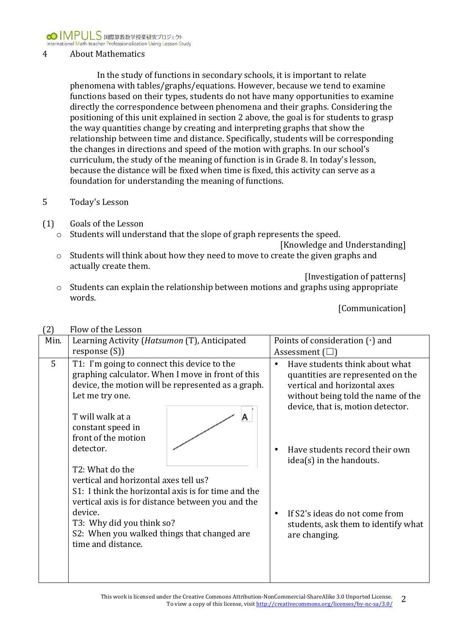

### 4 About Mathematics

In the study of functions in secondary schools, it is important to relate phenomena with tables/graphs/equations. However, because we tend to examine functions based on their types, students do not have many opportunities to examine directly the correspondence between phenomena and their graphs. Considering the positioning of this unit explained in section 2 above, the goal is for students to grasp the way quantities change by creating and interpreting graphs that show the relationship between time and distance. Specifically, students will be corresponding the changes in directions and speed of the motion with graphs. In our school's curriculum, the study of the meaning of function is in Grade 8. In today's lesson, because the distance will be fixed when time is fixed, this activity can serve as a foundation for understanding the meaning of functions.

#### 5 Today's Lesson

- (1) Goals of the Lesson
	- $\circ$  Students will understand that the slope of graph represents the speed.

[Knowledge and Understanding]

 $\circ$  Students will think about how they need to move to create the given graphs and actually create them.

[Investigation of patterns]

 $\circ$  Students can explain the relationship between motions and graphs using appropriate words.

|      | $\overline{a}$<br>FIUW UL LIIE LESSUII                                                                                                           |                                                                                                                                                                                                                                                                                                                                                                                                             |  |                                                                                                                                                                                                                                                                                                                                        |  |  |  |
|------|--------------------------------------------------------------------------------------------------------------------------------------------------|-------------------------------------------------------------------------------------------------------------------------------------------------------------------------------------------------------------------------------------------------------------------------------------------------------------------------------------------------------------------------------------------------------------|--|----------------------------------------------------------------------------------------------------------------------------------------------------------------------------------------------------------------------------------------------------------------------------------------------------------------------------------------|--|--|--|
| Min. | Learning Activity (Hatsumon (T), Anticipated                                                                                                     |                                                                                                                                                                                                                                                                                                                                                                                                             |  | Points of consideration $(\cdot)$ and<br>Assessment $(\square)$                                                                                                                                                                                                                                                                        |  |  |  |
| 5    | Let me try one.<br>T will walk at a<br>constant speed in<br>front of the motion<br>detector.<br>T2: What do the<br>device.<br>time and distance. | response(S)<br>T1: I'm going to connect this device to the<br>graphing calculator. When I move in front of this<br>device, the motion will be represented as a graph.<br>А<br>vertical and horizontal axes tell us?<br>S1: I think the horizontal axis is for time and the<br>vertical axis is for distance between you and the<br>T3: Why did you think so?<br>S2: When you walked things that changed are |  | Have students think about what<br>quantities are represented on the<br>vertical and horizontal axes<br>without being told the name of the<br>device, that is, motion detector.<br>Have students record their own<br>idea(s) in the handouts.<br>If S2's ideas do not come from<br>students, ask them to identify what<br>are changing. |  |  |  |

# $(2)$  Flow of the Lesson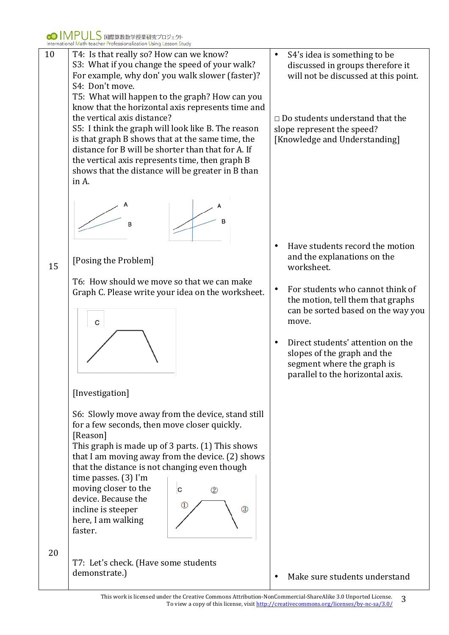

This work is licensed under the Creative Commons Attribution-NonCommercial-ShareAlike 3.0 Unported License. ler the Creative Commons Attribution-NonCommercial-ShareAlike 3.0 Unported License.  $\overline{3}$ <br>To view a copy of this license, visit http://creativecommons.org/licenses/by-nc-sa/3.0/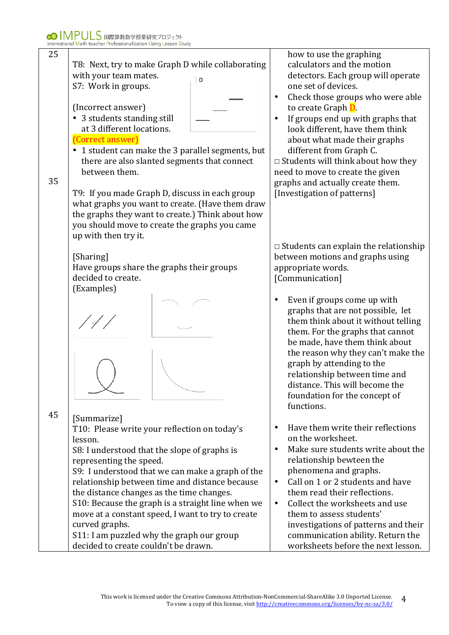| 25 |                                                   | how to use the graphing                         |
|----|---------------------------------------------------|-------------------------------------------------|
|    | T8: Next, try to make Graph D while collaborating | calculators and the motion                      |
|    | with your team mates.                             | detectors. Each group will operate              |
|    | D<br>S7: Work in groups.                          | one set of devices.                             |
|    |                                                   | Check those groups who were able<br>$\bullet$   |
|    | (Incorrect answer)                                | to create Graph D.                              |
|    | 3 students standing still                         | $\bullet$                                       |
|    | at 3 different locations.                         | If groups end up with graphs that               |
|    |                                                   | look different, have them think                 |
|    | (Correct answer)                                  | about what made their graphs                    |
|    | • 1 student can make the 3 parallel segments, but | different from Graph C.                         |
|    | there are also slanted segments that connect      | $\Box$ Students will think about how they       |
|    | between them.                                     | need to move to create the given                |
| 35 |                                                   | graphs and actually create them.                |
|    | T9: If you made Graph D, discuss in each group    | [Investigation of patterns]                     |
|    | what graphs you want to create. (Have them draw   |                                                 |
|    | the graphs they want to create.) Think about how  |                                                 |
|    | you should move to create the graphs you came     |                                                 |
|    | up with then try it.                              |                                                 |
|    |                                                   | $\Box$ Students can explain the relationship    |
|    | [Sharing]                                         | between motions and graphs using                |
|    | Have groups share the graphs their groups         | appropriate words.                              |
|    | decided to create.                                | [Communication]                                 |
|    | (Examples)                                        |                                                 |
|    |                                                   | Even if groups come up with<br>٠                |
|    |                                                   | graphs that are not possible, let               |
|    |                                                   | them think about it without telling             |
|    |                                                   | them. For the graphs that cannot                |
|    |                                                   | be made, have them think about                  |
|    |                                                   | the reason why they can't make the              |
|    |                                                   | graph by attending to the                       |
|    |                                                   | relationship between time and                   |
|    |                                                   | distance. This will become the                  |
|    |                                                   | foundation for the concept of                   |
|    |                                                   | functions.                                      |
| 45 |                                                   |                                                 |
|    | [Summarize]                                       | Have them write their reflections<br>$\bullet$  |
|    | T10: Please write your reflection on today's      | on the worksheet.                               |
|    | lesson.                                           |                                                 |
|    | S8: I understood that the slope of graphs is      | Make sure students write about the<br>$\bullet$ |
|    | representing the speed.                           | relationship bewteen the                        |
|    | S9: I understood that we can make a graph of the  | phenomena and graphs.                           |
|    | relationship between time and distance because    | Call on 1 or 2 students and have<br>$\bullet$   |
|    | the distance changes as the time changes.         | them read their reflections.                    |
|    | S10: Because the graph is a straight line when we | Collect the worksheets and use<br>$\bullet$     |
|    | move at a constant speed, I want to try to create | them to assess students'                        |
|    | curved graphs.                                    | investigations of patterns and their            |
|    | S11: I am puzzled why the graph our group         | communication ability. Return the               |
|    | decided to create couldn't be drawn.              | worksheets before the next lesson.              |